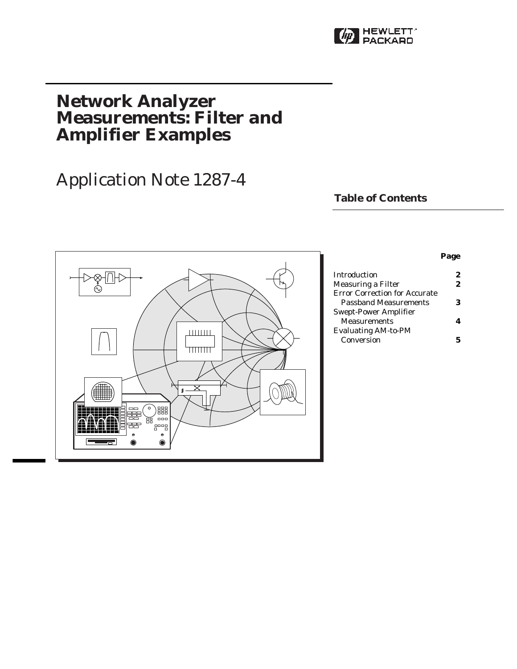

# **Network Analyzer Measurements: Filter and Amplifier Examples**

# Application Note 1287-4

## **Table of Contents**



### **Page**

| Introduction                         |    |
|--------------------------------------|----|
| Measuring a Filter                   | 2. |
| <b>Error Correction for Accurate</b> |    |
| <b>Passband Measurements</b>         | 3  |
| Swept-Power Amplifier                |    |
| <b>Measurements</b>                  |    |
| <b>Evaluating AM-to-PM</b>           |    |
| Conversion                           |    |
|                                      |    |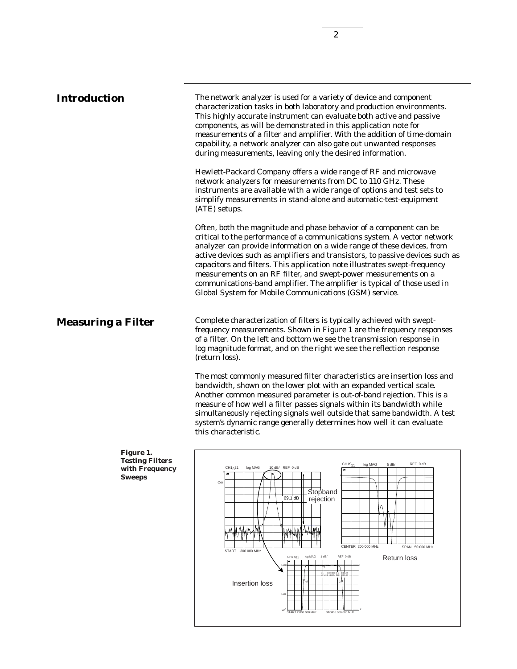## **Introduction** The network analyzer is used for a variety of device and component characterization tasks in both laboratory and production environments. This highly accurate instrument can evaluate both active and passive components, as will be demonstrated in this application note for measurements of a filter and amplifier. With the addition of time-domain capability, a network analyzer can also gate out unwanted responses during measurements, leaving only the desired information. Hewlett-Packard Company offers a wide range of RF and microwave network analyzers for measurements from DC to 110 GHz. These instruments are available with a wide range of options and test sets to simplify measurements in stand-alone and automatic-test-equipment (ATE) setups. Often, both the magnitude and phase behavior of a component can be critical to the performance of a communications system. A vector network analyzer can provide information on a wide range of these devices, from active devices such as amplifiers and transistors, to passive devices such as capacitors and filters. This application note illustrates swept-frequency measurements on an RF filter, and swept-power measurements on a communications-band amplifier. The amplifier is typical of those used in Global System for Mobile Communications (GSM) service. Complete characterization of filters is typically achieved with sweptfrequency measurements. Shown in Figure 1 are the frequency responses of a filter. On the left and bottom we see the transmission response in log magnitude format, and on the right we see the reflection response (return loss). **Measuring a Filter**

The most commonly measured filter characteristics are insertion loss and bandwidth, shown on the lower plot with an expanded vertical scale. Another common measured parameter is out-of-band rejection. This is a measure of how well a filter passes signals within its bandwidth while simultaneously rejecting signals well outside that same bandwidth. A test system's dynamic range generally determines how well it can evaluate this characteristic.



**Figure 1. Testing Filters Sweeps**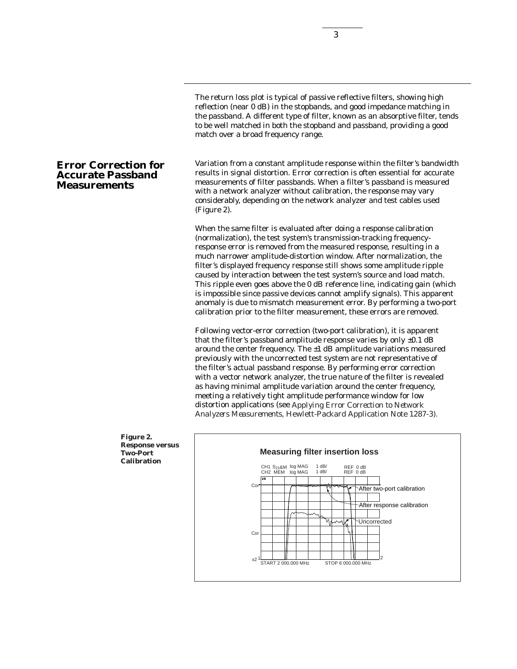The return loss plot is typical of passive reflective filters, showing high reflection (near 0 dB) in the stopbands, and good impedance matching in the passband. A different type of filter, known as an absorptive filter, tends to be well matched in both the stopband and passband, providing a good match over a broad frequency range.

Variation from a constant amplitude response within the filter's bandwidth results in signal distortion. Error correction is often essential for accurate measurements of filter passbands. When a filter's passband is measured with a network analyzer without calibration, the response may vary considerably, depending on the network analyzer and test cables used (Figure 2).

When the same filter is evaluated after doing a response calibration (normalization), the test system's transmission-tracking frequencyresponse error is removed from the measured response, resulting in a much narrower amplitude-distortion window. After normalization, the filter's displayed frequency response still shows some amplitude ripple caused by interaction between the test system's source and load match. This ripple even goes above the 0 dB reference line, indicating gain (which is impossible since passive devices cannot amplify signals). This apparent anomaly is due to mismatch measurement error. By performing a two-port calibration prior to the filter measurement, these errors are removed.

Following vector-error correction (two-port calibration), it is apparent that the filter's passband amplitude response varies by only  $\pm 0.1$  dB around the center frequency. The  $\pm 1$  dB amplitude variations measured previously with the uncorrected test system are not representative of the filter's actual passband response. By performing error correction with a vector network analyzer, the true nature of the filter is revealed as having minimal amplitude variation around the center frequency, meeting a relatively tight amplitude performance window for low distortion applications (see *Applying Error Correction to Network Analyzers Measurements*, Hewlett-Packard Application Note 1287-3).



## **Two-Port Calibration**

## **Error Correction for Accurate Passband Measurements**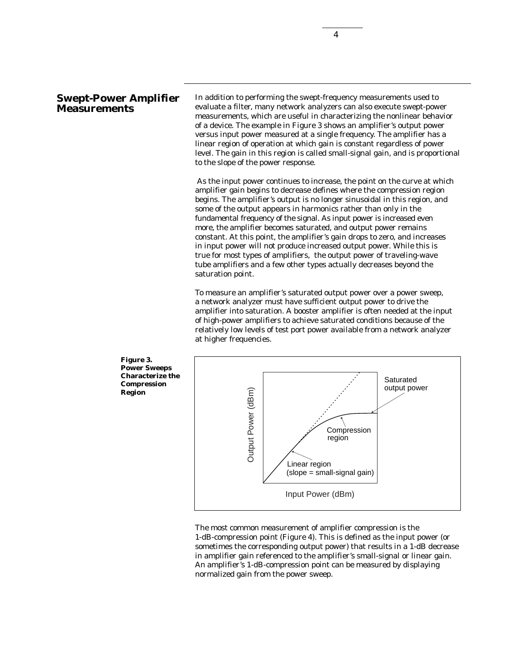**Region**

In addition to performing the swept-frequency measurements used to evaluate a filter, many network analyzers can also execute swept-power measurements, which are useful in characterizing the nonlinear behavior of a device. The example in Figure 3 shows an amplifier's output power versus input power measured at a single frequency. The amplifier has a linear region of operation at which gain is constant regardless of power level. The gain in this region is called small-signal gain, and is proportional to the slope of the power response.

4

As the input power continues to increase, the point on the curve at which amplifier gain begins to decrease defines where the compression region begins. The amplifier's output is no longer sinusoidal in this region, and some of the output appears in harmonics rather than only in the fundamental frequency of the signal. As input power is increased even more, the amplifier becomes saturated, and output power remains constant. At this point, the amplifier's gain drops to zero, and increases in input power will not produce increased output power. While this is true for most types of amplifiers, the output power of traveling-wave tube amplifiers and a few other types actually decreases beyond the saturation point.

To measure an amplifier's saturated output power over a power sweep, a network analyzer must have sufficient output power to drive the amplifier into saturation. A booster amplifier is often needed at the input of high-power amplifiers to achieve saturated conditions because of the relatively low levels of test port power available from a network analyzer at higher frequencies.



The most common measurement of amplifier compression is the 1-dB-compression point (Figure 4). This is defined as the input power (or sometimes the corresponding output power) that results in a 1-dB decrease in amplifier gain referenced to the amplifier's small-signal or linear gain. An amplifier's 1-dB-compression point can be measured by displaying normalized gain from the power sweep.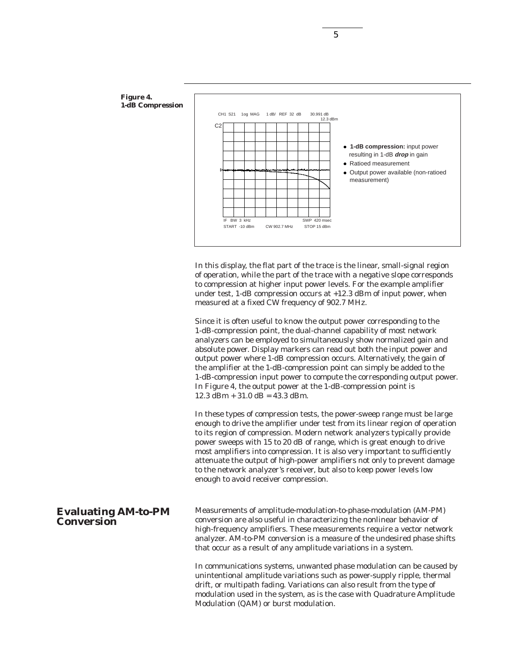

In this display, the flat part of the trace is the linear, small-signal region of operation, while the part of the trace with a negative slope corresponds to compression at higher input power levels. For the example amplifier under test, 1-dB compression occurs at +12.3 dBm of input power, when measured at a fixed CW frequency of 902.7 MHz.

Since it is often useful to know the output power corresponding to the 1-dB-compression point, the dual-channel capability of most network analyzers can be employed to simultaneously show normalized gain and absolute power. Display markers can read out both the input power and output power where 1-dB compression occurs. Alternatively, the gain of the amplifier at the 1-dB-compression point can simply be added to the 1-dB-compression input power to compute the corresponding output power. In Figure 4, the output power at the 1-dB-compression point is  $12.3$  dBm +  $31.0$  dB =  $43.3$  dBm.

In these types of compression tests, the power-sweep range must be large enough to drive the amplifier under test from its linear region of operation to its region of compression. Modern network analyzers typically provide power sweeps with 15 to 20 dB of range, which is great enough to drive most amplifiers into compression. It is also very important to sufficiently attenuate the output of high-power amplifiers not only to prevent damage to the network analyzer's receiver, but also to keep power levels low enough to avoid receiver compression.

**Evaluating AM-to-PM** Measurements of amplitude-modulation-to-phase-modulation (AM-PM) conversion are also useful in characterizing the nonlinear behavior of high-frequency amplifiers. These measurements require a vector network analyzer. AM-to-PM conversion is a measure of the undesired phase shifts that occur as a result of any amplitude variations in a system.

> In communications systems, unwanted phase modulation can be caused by unintentional amplitude variations such as power-supply ripple, thermal drift, or multipath fading. Variations can also result from the type of modulation used in the system, as is the case with Quadrature Amplitude Modulation (QAM) or burst modulation.

**Conversion**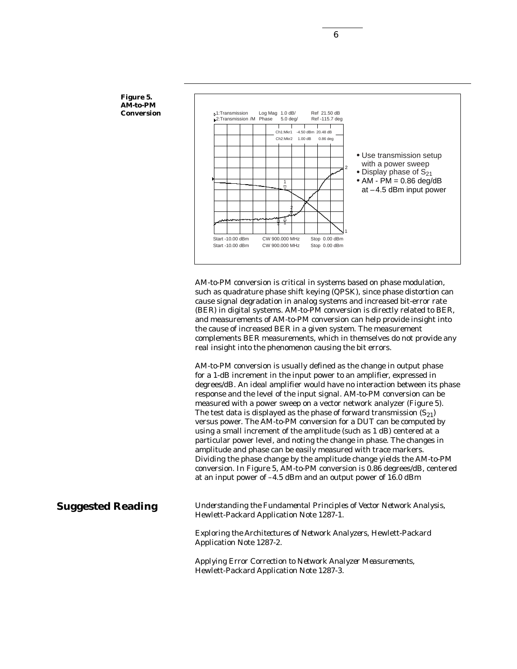

AM-to-PM conversion is critical in systems based on phase modulation, such as quadrature phase shift keying (QPSK), since phase distortion can cause signal degradation in analog systems and increased bit-error rate (BER) in digital systems. AM-to-PM conversion is directly related to BER, and measurements of AM-to-PM conversion can help provide insight into the cause of increased BER in a given system. The measurement complements BER measurements, which in themselves do not provide any real insight into the phenomenon causing the bit errors.

AM-to-PM conversion is usually defined as the change in output phase for a 1-dB increment in the input power to an amplifier, expressed in degrees/dB. An ideal amplifier would have no interaction between its phase response and the level of the input signal. AM-to-PM conversion can be measured with a power sweep on a vector network analyzer (Figure 5). The test data is displayed as the phase of forward transmission  $(S_{21})$ versus power. The AM-to-PM conversion for a DUT can be computed by using a small increment of the amplitude (such as 1 dB) centered at a particular power level, and noting the change in phase. The changes in amplitude and phase can be easily measured with trace markers. Dividing the phase change by the amplitude change yields the AM-to-PM conversion. In Figure 5, AM-to-PM conversion is 0.86 degrees/dB, centered at an input power of –4.5 dBm and an output power of 16.0 dBm

## **Suggested Reading**

*Understanding the Fundamental Principles of Vector Network Analysis*, Hewlett-Packard Application Note 1287-1.

*Exploring the Architectures of Network Analyzers*, Hewlett-Packard Application Note 1287-2.

*Applying Error Correction to Network Analyzer Measurements*, Hewlett-Packard Application Note 1287-3.

6